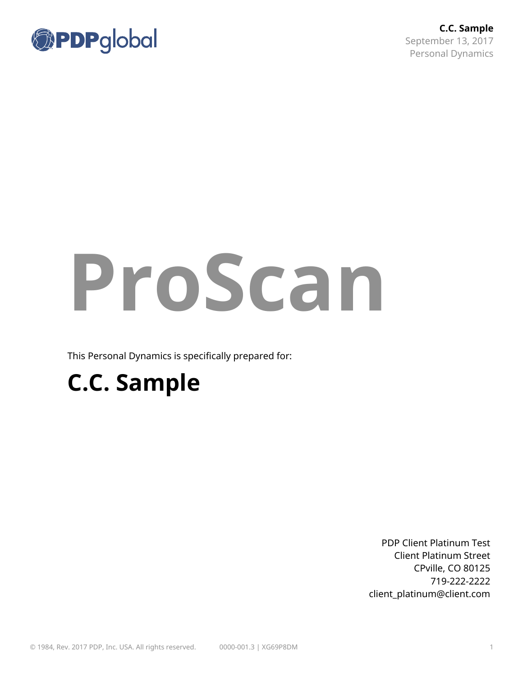

**C.C. Sample** September 13, 2017 Personal Dynamics

# **ProScan**

This Personal Dynamics is specifically prepared for:

# **C.C. Sample**

PDP Client Platinum Test Client Platinum Street CPville, CO 80125 719-222-2222 client\_platinum@client.com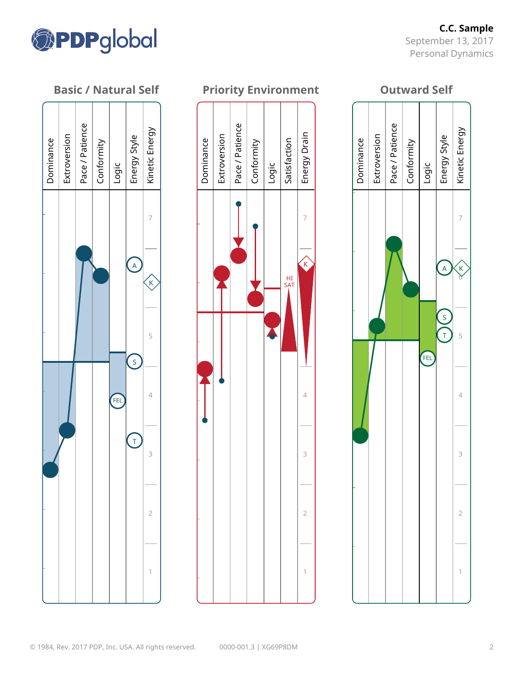

**C.C. Sample** September 13, 2017 Personal Dynamics

#### **Basic / Natural Self**



#### **Priority Environment**



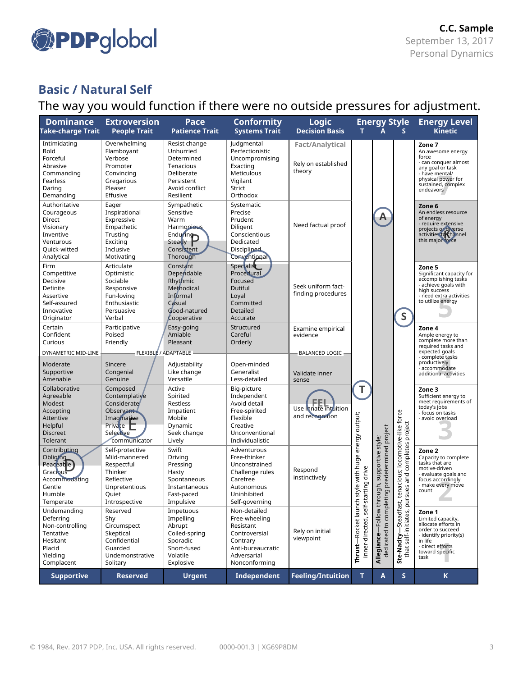

# The way you would function if there were no outside pressures for adjustment.

| <b>Dominance</b><br><b>Take-charge Trait</b>                                                               | <b>Extroversion</b><br><b>People Trait</b>                                                                          | Pace<br><b>Patience Trait</b>                                                                                                                                  | <b>Conformity</b><br><b>Systems Trait</b>                                                                                    | <b>Logic</b><br><b>Decision Basis</b>                   | <b>Energy Style</b><br>$\mathbf{A}$<br>$\mathbf{s}$ |                                                                |                                                            | <b>Energy Level</b><br><b>Kinetic</b>                                                                                                                       |
|------------------------------------------------------------------------------------------------------------|---------------------------------------------------------------------------------------------------------------------|----------------------------------------------------------------------------------------------------------------------------------------------------------------|------------------------------------------------------------------------------------------------------------------------------|---------------------------------------------------------|-----------------------------------------------------|----------------------------------------------------------------|------------------------------------------------------------|-------------------------------------------------------------------------------------------------------------------------------------------------------------|
| Intimidating<br>Bold<br>Forceful<br>Abrasive<br>Commanding<br>Fearless<br>Daring<br>Demanding              | Overwhelming<br>Flamboyant<br>Verbose<br>Promoter<br>Convincing<br>Gregarious<br>Pleaser<br>Effusive                | Resist change<br>Unhurried<br>Determined<br>Tenacious<br>Deliberate<br>Persistent<br>Avoid conflict<br>Resilient                                               | Judgmental<br>Perfectionistic<br>Uncompromising<br>Exacting<br>Meticulous<br>Vigilant<br><b>Strict</b><br>Orthodox           | <b>Fact/Analytical</b><br>Rely on established<br>theory |                                                     |                                                                |                                                            | Zone 7<br>An awesome energy<br>force<br>- can conquer almost<br>any goal or task<br>- have mental/<br>physical power for<br>sustained, complex<br>endeavors |
| Authoritative<br>Courageous<br>Direct<br>Visionary<br>Inventive<br>Venturous<br>Quick-witted<br>Analytical | Eager<br>Inspirational<br>Expressive<br>Empathetic<br>Trusting<br>Exciting<br>Inclusive<br>Motivating               | Sympathetic<br>Sensitive<br>Warm<br>Harmonious<br>$\overline{\phantom{a}}_{\phantom{a}}$ Endu $\overline{\phantom{a}}_{\phantom{a}}$<br>Consistent<br>Thorough | Systematic<br>Precise<br>Prudent<br>Diligent<br>Conscientious<br>Dedicated<br><b>Disciplined</b><br>Conventional             | Need factual proof                                      |                                                     | A                                                              |                                                            | Zone 6<br>An endless resource<br>of energy<br>- require extensive<br>projects or diverse<br>activities to channel<br>this major force                       |
| Firm<br>Competitive<br>Decisive<br>Definite<br>Assertive<br>Self-assured<br>Innovative<br>Originator       | Articulate<br>Optimistic<br>Sociable<br>Responsive<br>Fun-loving<br>Enthusiastic<br>Persuasive<br>Verbal            | Constant<br>Dependable<br>Rhythmic<br>Methodical<br>Informal<br>Casual<br>Good-natured<br>Cooperative                                                          | Specialist<br>Procedural<br>Focused<br>Dutiful<br>Loyal<br>Committed<br>Detailed<br>Accurate                                 | Seek uniform fact-<br>finding procedures                |                                                     |                                                                | $\mathsf S$                                                | Zone 5<br>Significant capacity for<br>accomplishing tasks<br>- achieve goals with<br>high success<br>- need extra activities<br>to utilize energy           |
| Certain<br>Confident<br>Curious<br>DYNAMETRIC MID-LINE                                                     | Participative<br>Poised<br>Friendly<br>FLEXIBLE / ADAPTABLE                                                         | Easy-going<br>Amiable<br>Pleasant                                                                                                                              | Structured<br>Careful<br>Orderly                                                                                             | Examine empirical<br>evidence<br>BALANCED LOGIC         |                                                     |                                                                |                                                            | Zone 4<br>Ample energy to<br>complete more than<br>required tasks and<br>expected goals<br>- complete tasks                                                 |
| Moderate<br>Supportive<br>Amenable                                                                         | Sincere<br>Congenial<br>Genuine                                                                                     | Adjustability<br>Like change<br>Versatile                                                                                                                      | Open-minded<br>Generalist<br>Less-detailed                                                                                   | Validate inner<br>sense                                 |                                                     |                                                                |                                                            | productively<br>- accommodate<br>additional activities                                                                                                      |
| Collaborative<br>Agreeable<br>Modest<br>Accepting<br>Attentive<br>Helpful<br><b>Discreet</b><br>Tolerant   | Composed<br>Contemplative<br>Considerate<br>Observant<br>Imaginative<br>Private<br><b>Selective</b><br>communicator | Active<br>Spirited<br>Restless<br>Impatient<br>Mobile<br>Dynamic<br>Seek change<br>Lively                                                                      | Big-picture<br>Independent<br>Avoid detail<br>Free-spirited<br>Flexible<br>Creative<br>Unconventional<br>Individualistic     | Use innate intuition<br>and recognition                 | T<br>energy output;                                 |                                                                | project                                                    | Zone 3<br>Sufficient energy to<br>meet requirements of<br>today's jobs<br>- focus on tasks<br>- avoid overload                                              |
| Contributing<br>Obliging<br>Peaceable<br>Gracious<br>Accommodating<br>Gentle<br>Humble<br>Temperate        | Self-protective<br>Mild-mannered<br>Respectful<br>Thinker<br>Reflective<br>Unpretentious<br>Quiet<br>Introspective  | Swift<br>Driving<br>Pressing<br>Hasty<br>Spontaneous<br>Instantaneous<br>Fast-paced<br>Impulsive                                                               | Adventurous<br>Free-thinker<br>Unconstrained<br>Challenge rules<br>Carefree<br>Autonomous<br>Uninhibited<br>Self-governing   | Respond<br>instinctively                                | style with huge<br>arting drive                     | predetermined project<br>supportive style;<br>ough,<br>$g$ ni: | tenacious; locomotive-like force<br>completes<br>sues and  | Zone 2<br>Capacity to complete<br>tasks that are<br>motive-driven<br>- evaluate goals and<br>focus accordingly<br>- make every move<br>count                |
| Undemanding<br>Deferring<br>Non-controlling<br>Tentative<br>Hesitant<br>Placid<br>Yielding<br>Complacent   | Reserved<br>Shy<br>Circumspect<br>Skeptical<br>Confidential<br>Guarded<br>Undemonstrative<br>Solitary               | Impetuous<br>Impelling<br>Abrupt<br>Coiled-spring<br>Sporadic<br>Short-fused<br>Volatile<br>Explosive                                                          | Non-detailed<br>Free-wheeling<br>Resistant<br>Controversial<br>Contrary<br>Anti-bureaucratic<br>Adversarial<br>Nonconforming | Rely on initial<br>viewpoint                            | Thrust-Rocket launch<br>self-st.<br>inner-directed, | -Follow thr<br>to complet<br>dedicated<br>Allegiance-          | <b>Ste-Nacity--</b> Steadfast,<br>that self-initiates, pur | Zone 1<br>Limited capacity,<br>allocate efforts in<br>order to succeed<br>- identify priority(s)<br>in life<br>- direct efforts<br>toward specific<br>task  |
| <b>Supportive</b>                                                                                          | <b>Reserved</b>                                                                                                     | <b>Urgent</b>                                                                                                                                                  | Independent                                                                                                                  | <b>Feeling/Intuition</b>                                | T.                                                  | A                                                              | $\sf S$                                                    | $\mathsf K$                                                                                                                                                 |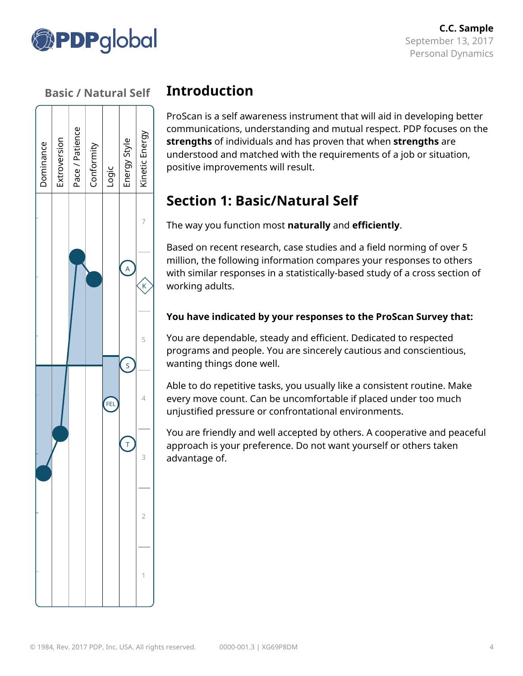



# **Introduction**

ProScan is a self awareness instrument that will aid in developing better communications, understanding and mutual respect. PDP focuses on the **strengths** of individuals and has proven that when **strengths** are understood and matched with the requirements of a job or situation, positive improvements will result.

# **Section 1: Basic/Natural Self**

The way you function most **naturally** and **efficiently**.

Based on recent research, case studies and a field norming of over 5 million, the following information compares your responses to others with similar responses in a statistically-based study of a cross section of working adults.

#### **You have indicated by your responses to the ProScan Survey that:**

You are dependable, steady and efficient. Dedicated to respected programs and people. You are sincerely cautious and conscientious, wanting things done well.

Able to do repetitive tasks, you usually like a consistent routine. Make every move count. Can be uncomfortable if placed under too much unjustified pressure or confrontational environments.

You are friendly and well accepted by others. A cooperative and peaceful approach is your preference. Do not want yourself or others taken advantage of.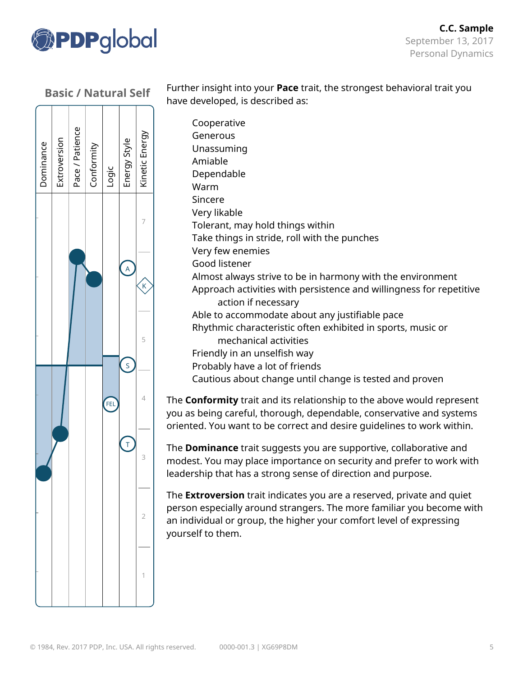



Further insight into your **Pace** trait, the strongest behavioral trait you have developed, is described as:

Cooperative Generous Unassuming Amiable Dependable Warm Sincere Very likable Tolerant, may hold things within Take things in stride, roll with the punches Very few enemies Good listener Almost always strive to be in harmony with the environment Approach activities with persistence and willingness for repetitive action if necessary Able to accommodate about any justifiable pace Rhythmic characteristic often exhibited in sports, music or mechanical activities Friendly in an unselfish way Probably have a lot of friends Cautious about change until change is tested and proven

The **Conformity** trait and its relationship to the above would represent you as being careful, thorough, dependable, conservative and systems oriented. You want to be correct and desire guidelines to work within.

The **Dominance** trait suggests you are supportive, collaborative and modest. You may place importance on security and prefer to work with leadership that has a strong sense of direction and purpose.

The **Extroversion** trait indicates you are a reserved, private and quiet person especially around strangers. The more familiar you become with an individual or group, the higher your comfort level of expressing yourself to them.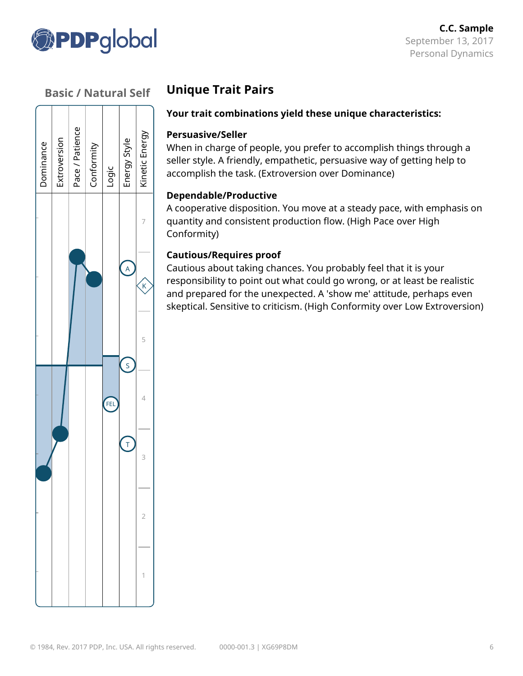



# **Unique Trait Pairs**

#### **Your trait combinations yield these unique characteristics:**

#### **Persuasive/Seller**

When in charge of people, you prefer to accomplish things through a seller style. A friendly, empathetic, persuasive way of getting help to accomplish the task. (Extroversion over Dominance)

#### **Dependable/Productive**

A cooperative disposition. You move at a steady pace, with emphasis on quantity and consistent production flow. (High Pace over High Conformity)

#### **Cautious/Requires proof**

Cautious about taking chances. You probably feel that it is your responsibility to point out what could go wrong, or at least be realistic and prepared for the unexpected. A 'show me' attitude, perhaps even skeptical. Sensitive to criticism. (High Conformity over Low Extroversion)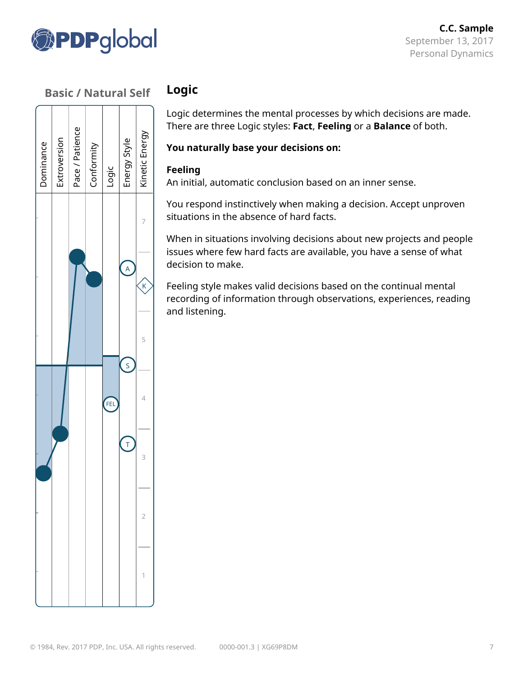



# **Logic**

Logic determines the mental processes by which decisions are made. There are three Logic styles: **Fact**, **Feeling** or a **Balance** of both.

#### **You naturally base your decisions on:**

#### **Feeling**

An initial, automatic conclusion based on an inner sense.

You respond instinctively when making a decision. Accept unproven situations in the absence of hard facts.

When in situations involving decisions about new projects and people issues where few hard facts are available, you have a sense of what decision to make.

Feeling style makes valid decisions based on the continual mental recording of information through observations, experiences, reading and listening.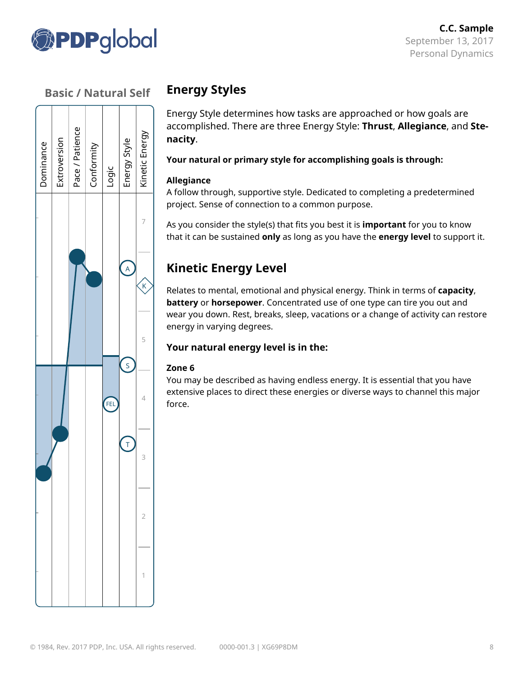



# **Energy Styles**

Energy Style determines how tasks are approached or how goals are accomplished. There are three Energy Style: **Thrust**, **Allegiance**, and **Stenacity**.

#### **Your natural or primary style for accomplishing goals is through:**

#### **Allegiance**

A follow through, supportive style. Dedicated to completing a predetermined project. Sense of connection to a common purpose.

As you consider the style(s) that fits you best it is **important** for you to know that it can be sustained **only** as long as you have the **energy level** to support it.

# **Kinetic Energy Level**

Relates to mental, emotional and physical energy. Think in terms of **capacity**, **battery** or **horsepower**. Concentrated use of one type can tire you out and wear you down. Rest, breaks, sleep, vacations or a change of activity can restore energy in varying degrees.

#### **Your natural energy level is in the:**

#### **Zone 6**

You may be described as having endless energy. It is essential that you have extensive places to direct these energies or diverse ways to channel this major force.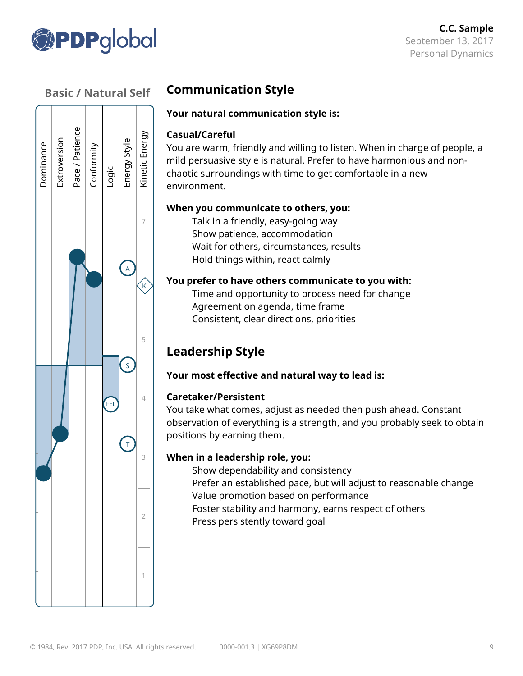



# **Communication Style**

#### **Your natural communication style is:**

#### **Casual/Careful**

You are warm, friendly and willing to listen. When in charge of people, a mild persuasive style is natural. Prefer to have harmonious and nonchaotic surroundings with time to get comfortable in a new environment.

#### **When you communicate to others, you:**

Talk in a friendly, easy-going way Show patience, accommodation Wait for others, circumstances, results Hold things within, react calmly

#### **You prefer to have others communicate to you with:**

Time and opportunity to process need for change Agreement on agenda, time frame Consistent, clear directions, priorities

# **Leadership Style**

#### **Your most effective and natural way to lead is:**

#### **Caretaker/Persistent**

You take what comes, adjust as needed then push ahead. Constant observation of everything is a strength, and you probably seek to obtain positions by earning them.

#### **When in a leadership role, you:**

Show dependability and consistency Prefer an established pace, but will adjust to reasonable change Value promotion based on performance Foster stability and harmony, earns respect of others Press persistently toward goal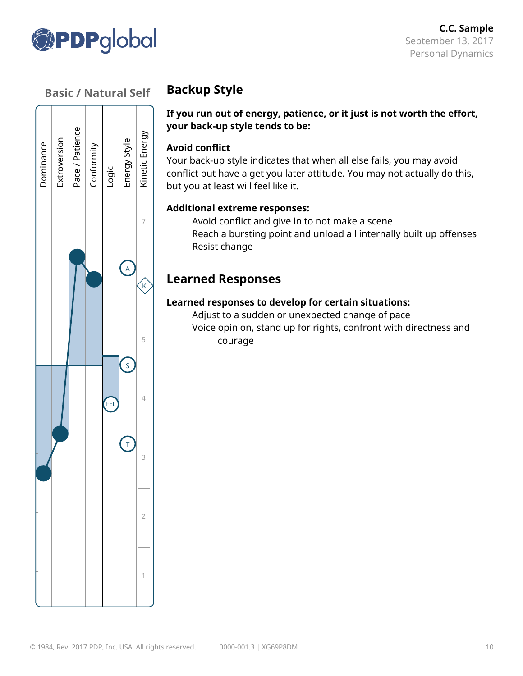



# **Backup Style**

#### **If you run out of energy, patience, or it just is not worth the effort, your back-up style tends to be:**

#### **Avoid conflict**

Your back-up style indicates that when all else fails, you may avoid conflict but have a get you later attitude. You may not actually do this, but you at least will feel like it.

#### **Additional extreme responses:**

Avoid conflict and give in to not make a scene Reach a bursting point and unload all internally built up offenses Resist change

# **Learned Responses**

#### **Learned responses to develop for certain situations:**

Adjust to a sudden or unexpected change of pace Voice opinion, stand up for rights, confront with directness and courage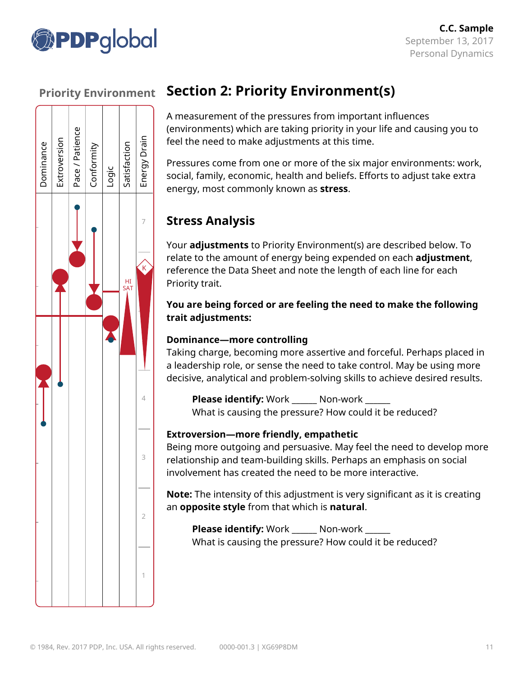



# **Section 2: Priority Environment(s)**

A measurement of the pressures from important influences (environments) which are taking priority in your life and causing you to feel the need to make adjustments at this time.

Pressures come from one or more of the six major environments: work, social, family, economic, health and beliefs. Efforts to adjust take extra energy, most commonly known as **stress**.

# **Stress Analysis**

Your **adjustments** to Priority Environment(s) are described below. To relate to the amount of energy being expended on each **adjustment**, reference the Data Sheet and note the length of each line for each Priority trait.

#### **You are being forced or are feeling the need to make the following trait adjustments:**

#### **Dominance—more controlling**

Taking charge, becoming more assertive and forceful. Perhaps placed in a leadership role, or sense the need to take control. May be using more decisive, analytical and problem-solving skills to achieve desired results.

**Please identify:** Work \_\_\_\_\_ Non-work What is causing the pressure? How could it be reduced?

#### **Extroversion—more friendly, empathetic**

Being more outgoing and persuasive. May feel the need to develop more relationship and team-building skills. Perhaps an emphasis on social involvement has created the need to be more interactive.

**Note:** The intensity of this adjustment is very significant as it is creating an **opposite style** from that which is **natural**.

**Please identify:** Work \_\_\_\_\_\_ Non-work \_\_\_\_\_\_ What is causing the pressure? How could it be reduced?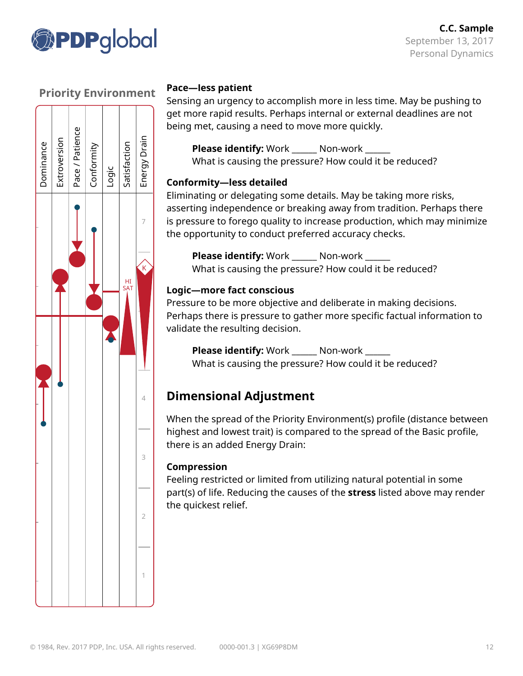



#### **Pace—less patient**

Sensing an urgency to accomplish more in less time. May be pushing to get more rapid results. Perhaps internal or external deadlines are not being met, causing a need to move more quickly.

**Please identify:** Work \_\_\_\_\_\_ Non-work \_\_\_\_\_\_ What is causing the pressure? How could it be reduced?

#### **Conformity—less detailed**

Eliminating or delegating some details. May be taking more risks, asserting independence or breaking away from tradition. Perhaps there is pressure to forego quality to increase production, which may minimize the opportunity to conduct preferred accuracy checks.

**Please identify:** Work \_\_\_\_\_\_ Non-work \_\_\_\_\_\_ What is causing the pressure? How could it be reduced?

#### **Logic—more fact conscious**

Pressure to be more objective and deliberate in making decisions. Perhaps there is pressure to gather more specific factual information to validate the resulting decision.

**Please identify:** Work \_\_\_\_\_\_ Non-work \_\_\_\_\_\_ What is causing the pressure? How could it be reduced?

# **Dimensional Adjustment**

When the spread of the Priority Environment(s) profile (distance between highest and lowest trait) is compared to the spread of the Basic profile, there is an added Energy Drain:

#### **Compression**

Feeling restricted or limited from utilizing natural potential in some part(s) of life. Reducing the causes of the **stress** listed above may render the quickest relief.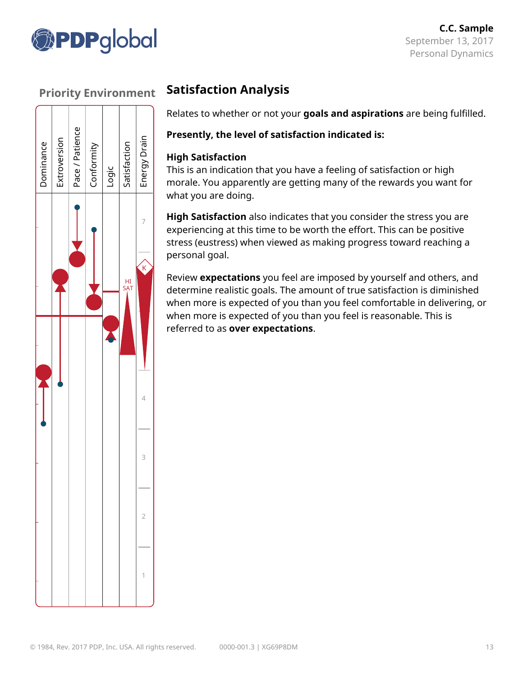



# **Satisfaction Analysis**

Relates to whether or not your **goals and aspirations** are being fulfilled.

#### **Presently, the level of satisfaction indicated is:**

#### **High Satisfaction**

This is an indication that you have a feeling of satisfaction or high morale. You apparently are getting many of the rewards you want for what you are doing.

**High Satisfaction** also indicates that you consider the stress you are experiencing at this time to be worth the effort. This can be positive stress (eustress) when viewed as making progress toward reaching a personal goal.

Review **expectations** you feel are imposed by yourself and others, and determine realistic goals. The amount of true satisfaction is diminished when more is expected of you than you feel comfortable in delivering, or when more is expected of you than you feel is reasonable. This is referred to as **over expectations**.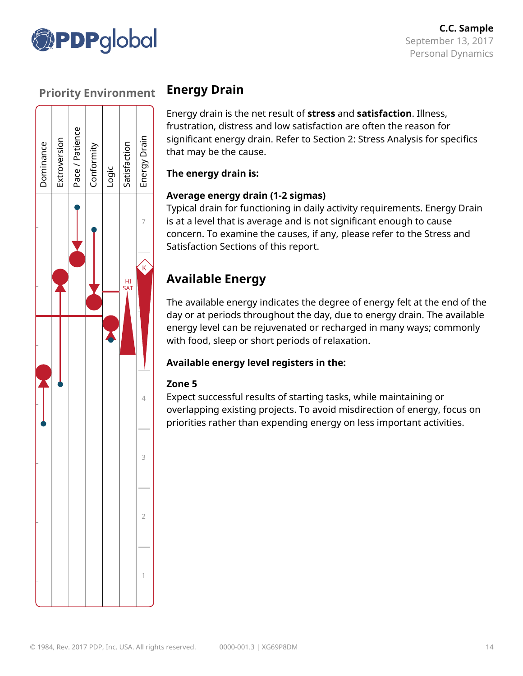



# **Energy Drain**

Energy drain is the net result of **stress** and **satisfaction**. Illness, frustration, distress and low satisfaction are often the reason for significant energy drain. Refer to Section 2: Stress Analysis for specifics that may be the cause.

#### **The energy drain is:**

#### **Average energy drain (1-2 sigmas)**

Typical drain for functioning in daily activity requirements. Energy Drain is at a level that is average and is not significant enough to cause concern. To examine the causes, if any, please refer to the Stress and Satisfaction Sections of this report.

# **Available Energy**

The available energy indicates the degree of energy felt at the end of the day or at periods throughout the day, due to energy drain. The available energy level can be rejuvenated or recharged in many ways; commonly with food, sleep or short periods of relaxation.

#### **Available energy level registers in the:**

#### **Zone 5**

Expect successful results of starting tasks, while maintaining or overlapping existing projects. To avoid misdirection of energy, focus on priorities rather than expending energy on less important activities.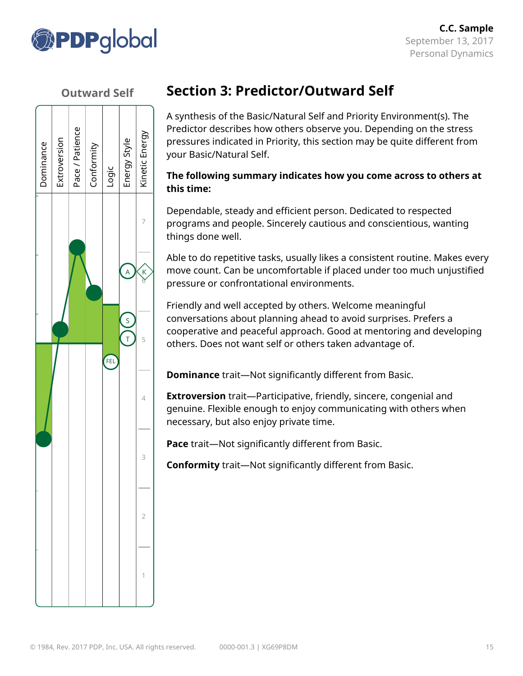

#### **Outward Self**



# **Section 3: Predictor/Outward Self**

A synthesis of the Basic/Natural Self and Priority Environment(s). The Predictor describes how others observe you. Depending on the stress pressures indicated in Priority, this section may be quite different from your Basic/Natural Self.

#### **The following summary indicates how you come across to others at this time:**

Dependable, steady and efficient person. Dedicated to respected programs and people. Sincerely cautious and conscientious, wanting things done well.

Able to do repetitive tasks, usually likes a consistent routine. Makes every move count. Can be uncomfortable if placed under too much unjustified pressure or confrontational environments.

Friendly and well accepted by others. Welcome meaningful conversations about planning ahead to avoid surprises. Prefers a cooperative and peaceful approach. Good at mentoring and developing others. Does not want self or others taken advantage of.

**Dominance** trait—Not significantly different from Basic.

**Extroversion** trait—Participative, friendly, sincere, congenial and genuine. Flexible enough to enjoy communicating with others when necessary, but also enjoy private time.

**Pace** trait—Not significantly different from Basic.

**Conformity** trait—Not significantly different from Basic.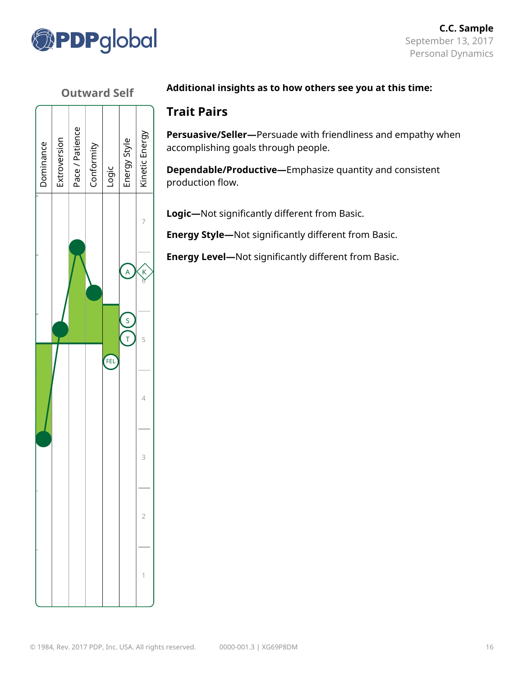

#### **Outward Self**



#### **Additional insights as to how others see you at this time:**

#### **Trait Pairs**

**Persuasive/Seller—**Persuade with friendliness and empathy when accomplishing goals through people.

**Dependable/Productive—**Emphasize quantity and consistent production flow.

**Logic—**Not significantly different from Basic.

**Energy Style—**Not significantly different from Basic.

**Energy Level—**Not significantly different from Basic.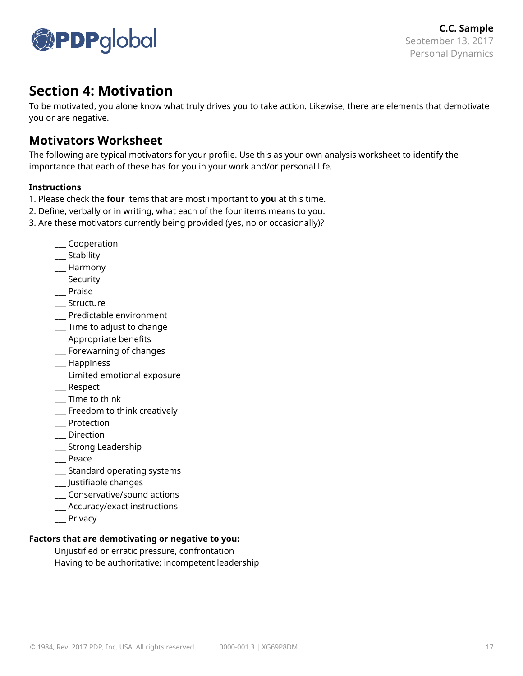

# **Section 4: Motivation**

To be motivated, you alone know what truly drives you to take action. Likewise, there are elements that demotivate you or are negative.

#### **Motivators Worksheet**

The following are typical motivators for your profile. Use this as your own analysis worksheet to identify the importance that each of these has for you in your work and/or personal life.

#### **Instructions**

- 1. Please check the **four** items that are most important to **you** at this time.
- 2. Define, verbally or in writing, what each of the four items means to you.
- 3. Are these motivators currently being provided (yes, no or occasionally)?
	- \_\_\_ Cooperation
	- \_\_\_ Stability
	- \_\_\_ Harmony
	- \_\_\_ Security
	- \_\_\_ Praise
	- \_\_\_ Structure
	- \_\_\_ Predictable environment
	- \_\_\_ Time to adjust to change
	- \_\_\_ Appropriate benefits
	- \_\_\_ Forewarning of changes
	- \_\_\_ Happiness
	- \_\_\_ Limited emotional exposure
	- \_\_\_ Respect
	- \_\_\_ Time to think
	- \_\_\_ Freedom to think creatively
	- \_\_\_ Protection
	- \_\_\_ Direction
	- \_\_\_ Strong Leadership
	- \_\_\_ Peace
	- \_\_\_ Standard operating systems
	- \_\_\_ Justifiable changes
	- \_\_\_ Conservative/sound actions
	- \_\_\_ Accuracy/exact instructions
	- \_\_\_ Privacy

#### **Factors that are demotivating or negative to you:**

Unjustified or erratic pressure, confrontation Having to be authoritative; incompetent leadership